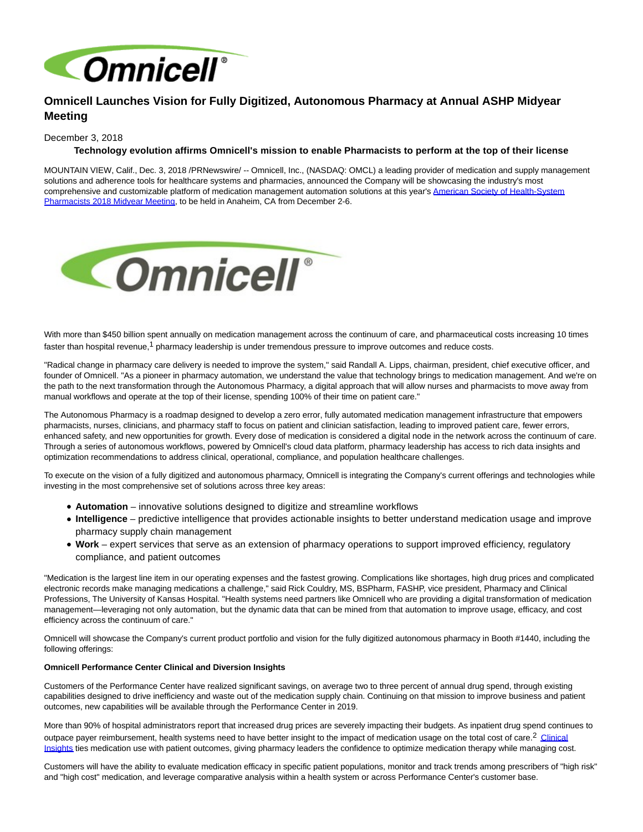

# **Omnicell Launches Vision for Fully Digitized, Autonomous Pharmacy at Annual ASHP Midyear Meeting**

## December 3, 2018

# **Technology evolution affirms Omnicell's mission to enable Pharmacists to perform at the top of their license**

MOUNTAIN VIEW, Calif., Dec. 3, 2018 /PRNewswire/ -- Omnicell, Inc., (NASDAQ: OMCL) a leading provider of medication and supply management solutions and adherence tools for healthcare systems and pharmacies, announced the Company will be showcasing the industry's most comprehen[sive and customizable platform of medication management automation solutions at this year's American Society of Health-System](https://midyear17.ashp.org/) Pharmacists 2018 Midyear Meeting, to be held in Anaheim, CA from December 2-6.



With more than \$450 billion spent annually on medication management across the continuum of care, and pharmaceutical costs increasing 10 times faster than hospital revenue,<sup>1</sup> pharmacy leadership is under tremendous pressure to improve outcomes and reduce costs.

"Radical change in pharmacy care delivery is needed to improve the system," said Randall A. Lipps, chairman, president, chief executive officer, and founder of Omnicell. "As a pioneer in pharmacy automation, we understand the value that technology brings to medication management. And we're on the path to the next transformation through the Autonomous Pharmacy, a digital approach that will allow nurses and pharmacists to move away from manual workflows and operate at the top of their license, spending 100% of their time on patient care."

The Autonomous Pharmacy is a roadmap designed to develop a zero error, fully automated medication management infrastructure that empowers pharmacists, nurses, clinicians, and pharmacy staff to focus on patient and clinician satisfaction, leading to improved patient care, fewer errors, enhanced safety, and new opportunities for growth. Every dose of medication is considered a digital node in the network across the continuum of care. Through a series of autonomous workflows, powered by Omnicell's cloud data platform, pharmacy leadership has access to rich data insights and optimization recommendations to address clinical, operational, compliance, and population healthcare challenges.

To execute on the vision of a fully digitized and autonomous pharmacy, Omnicell is integrating the Company's current offerings and technologies while investing in the most comprehensive set of solutions across three key areas:

- **Automation** innovative solutions designed to digitize and streamline workflows
- **Intelligence** predictive intelligence that provides actionable insights to better understand medication usage and improve pharmacy supply chain management
- **Work** expert services that serve as an extension of pharmacy operations to support improved efficiency, regulatory compliance, and patient outcomes

"Medication is the largest line item in our operating expenses and the fastest growing. Complications like shortages, high drug prices and complicated electronic records make managing medications a challenge," said Rick Couldry, MS, BSPharm, FASHP, vice president, Pharmacy and Clinical Professions, The University of Kansas Hospital. "Health systems need partners like Omnicell who are providing a digital transformation of medication management—leveraging not only automation, but the dynamic data that can be mined from that automation to improve usage, efficacy, and cost efficiency across the continuum of care."

Omnicell will showcase the Company's current product portfolio and vision for the fully digitized autonomous pharmacy in Booth #1440, including the following offerings:

## **Omnicell Performance Center Clinical and Diversion Insights**

Customers of the Performance Center have realized significant savings, on average two to three percent of annual drug spend, through existing capabilities designed to drive inefficiency and waste out of the medication supply chain. Continuing on that mission to improve business and patient outcomes, new capabilities will be available through the Performance Center in 2019.

More than 90% of hospital administrators report that increased drug prices are severely impacting their budgets. As inpatient drug spend continues to outpace payer reimbursement, health systems need to have better insight to the impact of medication usage on the total cost of care.<sup>2</sup> [Clinical](https://www.omnicell.com/products/performance-center/clinical-insights) Insights ties medication use with patient outcomes, giving pharmacy leaders the confidence to optimize medication therapy while managing cost.

Customers will have the ability to evaluate medication efficacy in specific patient populations, monitor and track trends among prescribers of "high risk" and "high cost" medication, and leverage comparative analysis within a health system or across Performance Center's customer base.